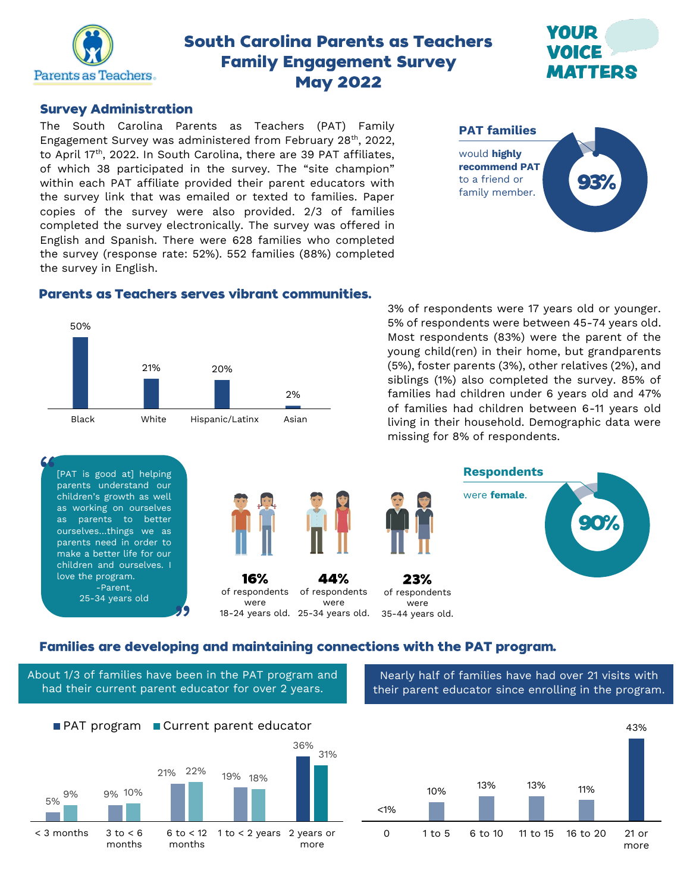

# **South Carolina Parents as Teachers Family Engagement Survey May 2022**



#### **Survey Administration**

The South Carolina Parents as Teachers (PAT) Family Engagement Survey was administered from February 28th, 2022, to April 17<sup>th</sup>, 2022. In South Carolina, there are 39 PAT affiliates, of which 38 participated in the survey. The "site champion" within each PAT affiliate provided their parent educators with the survey link that was emailed or texted to families. Paper copies of the survey were also provided. 2/3 of families completed the survey electronically. The survey was offered in English and Spanish. There were 628 families who completed the survey (response rate: 52%). 552 families (88%) completed the survey in English.



#### **Parents as Teachers serves vibrant communities.**



3% of respondents were 17 years old or younger. 5% of respondents were between 45-74 years old. Most respondents (83%) were the parent of the young child(ren) in their home, but grandparents (5%), foster parents (3%), other relatives (2%), and siblings (1%) also completed the survey. 85% of families had children under 6 years old and 47% of families had children between 6-11 years old living in their household. Demographic data were missing for 8% of respondents.



## Families are developing and maintaining connections with the PAT program.

About 1/3 of families have been in the PAT program and had their current parent educator for over 2 years.

Nearly half of families have had over 21 visits with their parent educator since enrolling in the program.



10% 13% 13% 11% 43% 0 1 to 5 6 to 10 11 to 15 16 to 20 21 or more